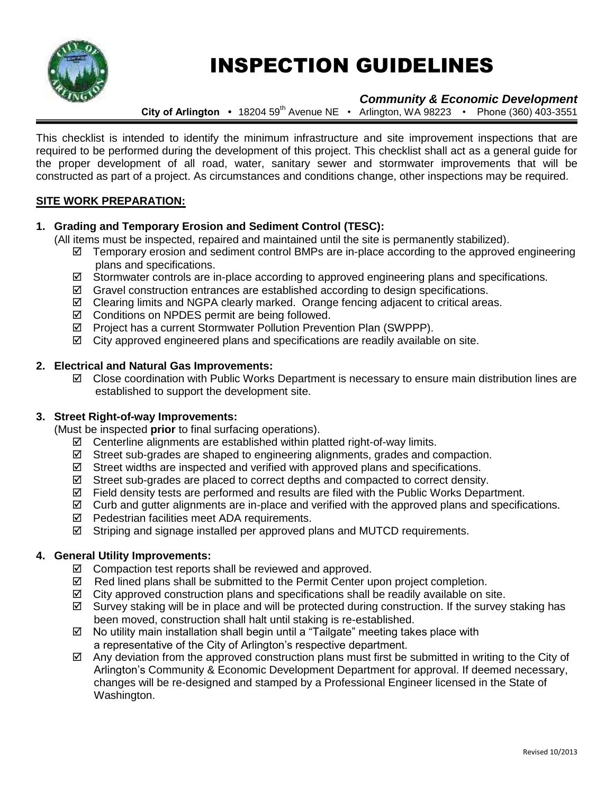

# INSPECTION GUIDELINES

# *Community & Economic Development*

**City of Arlington •** 18204 59<sup>th</sup> Avenue NE • Arlington, WA 98223 • Phone (360) 403-3551

This checklist is intended to identify the minimum infrastructure and site improvement inspections that are required to be performed during the development of this project. This checklist shall act as a general guide for the proper development of all road, water, sanitary sewer and stormwater improvements that will be constructed as part of a project. As circumstances and conditions change, other inspections may be required.

# **SITE WORK PREPARATION:**

#### **1. Grading and Temporary Erosion and Sediment Control (TESC):**

(All items must be inspected, repaired and maintained until the site is permanently stabilized).

- $\boxtimes$  Temporary erosion and sediment control BMPs are in-place according to the approved engineering plans and specifications.
- $\boxtimes$  Stormwater controls are in-place according to approved engineering plans and specifications.
- $\boxtimes$  Gravel construction entrances are established according to design specifications.
- Clearing limits and NGPA clearly marked. Orange fencing adjacent to critical areas.
- $\boxtimes$  Conditions on NPDES permit are being followed.
- Project has a current Stormwater Pollution Prevention Plan (SWPPP).
- $\boxtimes$  City approved engineered plans and specifications are readily available on site.

#### **2. Electrical and Natural Gas Improvements:**

 $\boxtimes$  Close coordination with Public Works Department is necessary to ensure main distribution lines are established to support the development site.

### **3. Street Right-of-way Improvements:**

(Must be inspected **prior** to final surfacing operations).

- $\boxtimes$  Centerline alignments are established within platted right-of-way limits.
- $\boxtimes$  Street sub-grades are shaped to engineering alignments, grades and compaction.
- $\boxtimes$  Street widths are inspected and verified with approved plans and specifications.
- $\boxtimes$  Street sub-grades are placed to correct depths and compacted to correct density.
- $\boxtimes$  Field density tests are performed and results are filed with the Public Works Department.
- $\boxtimes$  Curb and gutter alignments are in-place and verified with the approved plans and specifications.
- Pedestrian facilities meet ADA requirements.
- $\boxtimes$  Striping and signage installed per approved plans and MUTCD requirements.

# **4. General Utility Improvements:**

- $\boxtimes$  Compaction test reports shall be reviewed and approved.
- $\boxtimes$  Red lined plans shall be submitted to the Permit Center upon project completion.
- $\boxtimes$  City approved construction plans and specifications shall be readily available on site.
- $\boxtimes$  Survey staking will be in place and will be protected during construction. If the survey staking has been moved, construction shall halt until staking is re-established.
- $\boxtimes$  No utility main installation shall begin until a "Tailgate" meeting takes place with a representative of the City of Arlington's respective department.
- $\boxtimes$  Any deviation from the approved construction plans must first be submitted in writing to the City of Arlington's Community & Economic Development Department for approval. If deemed necessary, changes will be re-designed and stamped by a Professional Engineer licensed in the State of Washington.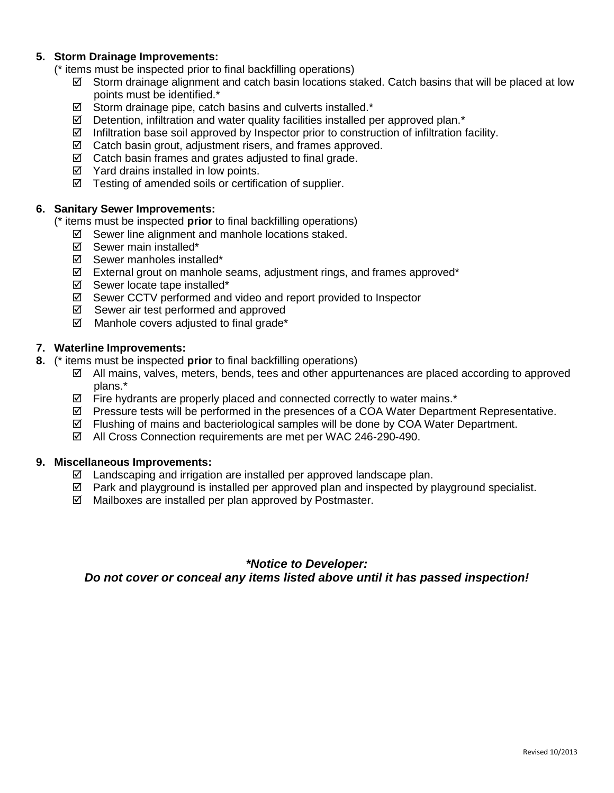#### **5. Storm Drainage Improvements:**

(\* items must be inspected prior to final backfilling operations)

- ⊠ Storm drainage alignment and catch basin locations stacked. Catch basins that will be placed at low points must be identified.\*
- $\boxtimes$  Storm drainage pipe, catch basins and culverts installed.\*
- $\boxtimes$  Detention, infiltration and water quality facilities installed per approved plan.\*
- $\boxtimes$  Infiltration base soil approved by Inspector prior to construction of infiltration facility.
- $\boxtimes$  Catch basin grout, adjustment risers, and frames approved.
- $\boxtimes$  Catch basin frames and grates adjusted to final grade.
- $\boxtimes$  Yard drains installed in low points.
- $\boxtimes$  Testing of amended soils or certification of supplier.

#### **6. Sanitary Sewer Improvements:**

(\* items must be inspected **prior** to final backfilling operations)

- $\boxtimes$  Sewer line alignment and manhole locations staked.
- $\boxtimes$  Sewer main installed\*
- $\boxtimes$  Sewer manholes installed\*
- $\boxtimes$  External grout on manhole seams, adjustment rings, and frames approved\*
- $\boxtimes$  Sewer locate tape installed\*
- Sewer CCTV performed and video and report provided to Inspector
- $\boxtimes$  Sewer air test performed and approved
- $\boxtimes$  Manhole covers adjusted to final grade\*

#### **7. Waterline Improvements:**

- **8.** (\* items must be inspected **prior** to final backfilling operations)
	- $\boxtimes$  All mains, valves, meters, bends, tees and other appurtenances are placed according to approved plans.\*
	- $\boxtimes$  Fire hydrants are properly placed and connected correctly to water mains.\*
	- $\boxtimes$  Pressure tests will be performed in the presences of a COA Water Department Representative.
	- $\boxtimes$  Flushing of mains and bacteriological samples will be done by COA Water Department.
	- All Cross Connection requirements are met per WAC 246-290-490.

#### **9. Miscellaneous Improvements:**

- $\boxtimes$  Landscaping and irrigation are installed per approved landscape plan.
- $\boxtimes$  Park and playground is installed per approved plan and inspected by playground specialist.
- $\boxtimes$  Mailboxes are installed per plan approved by Postmaster.

# *\*Notice to Developer:*

*Do not cover or conceal any items listed above until it has passed inspection!*